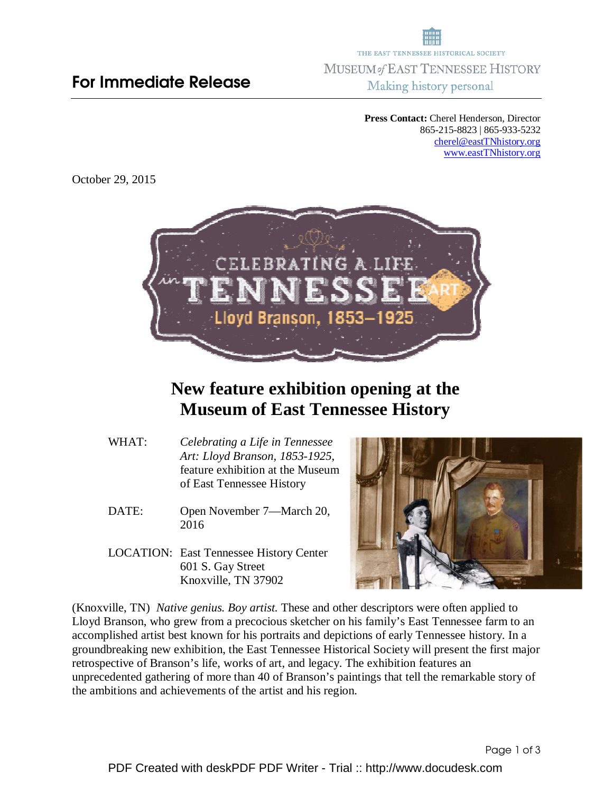## For Immediate Release

THE EAST TENNESSEE HISTORICAL SOCIETY MUSEUM of EAST TENNESSEE HISTORY Making history personal

> **Press Contact:** Cherel Henderson, Director 865-215-8823 | 865-933-5232 cherel@eastTNhistory.org www.eastTNhistory.org

October 29, 2015



## **New feature exhibition opening at the Museum of East Tennessee History**

- WHAT: *Celebrating a Life in Tennessee Art: Lloyd Branson, 1853-1925*, feature exhibition at the Museum of East Tennessee History
- DATE: Open November 7—March 20, 2016
- LOCATION: East Tennessee History Center 601 S. Gay Street Knoxville, TN 37902



(Knoxville, TN) *Native genius. Boy artist.* These and other descriptors were often applied to Lloyd Branson, who grew from a precocious sketcher on his family's East Tennessee farm to an accomplished artist best known for his portraits and depictions of early Tennessee history. In a groundbreaking new exhibition, the East Tennessee Historical Society will present the first major retrospective of Branson's life, works of art, and legacy. The exhibition features an unprecedented gathering of more than 40 of Branson's paintings that tell the remarkable story of the ambitions and achievements of the artist and his region.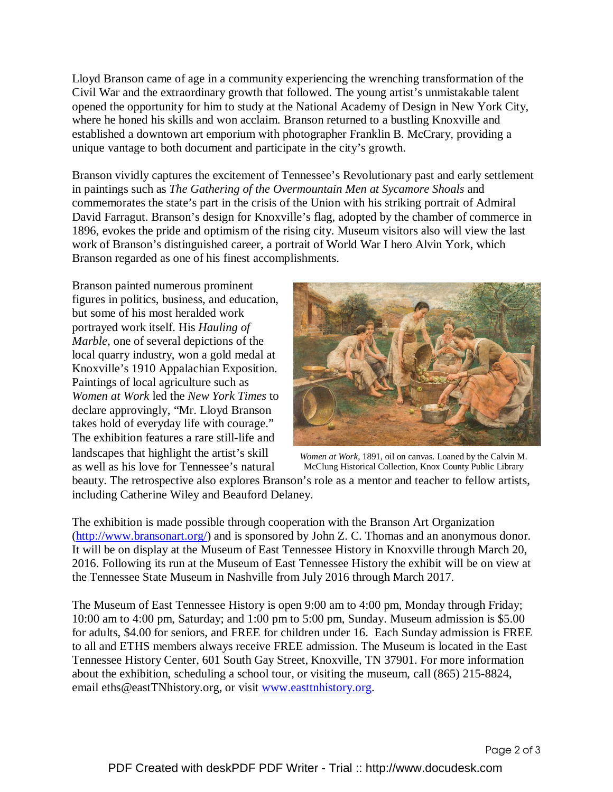Lloyd Branson came of age in a community experiencing the wrenching transformation of the Civil War and the extraordinary growth that followed. The young artist's unmistakable talent opened the opportunity for him to study at the National Academy of Design in New York City, where he honed his skills and won acclaim. Branson returned to a bustling Knoxville and established a downtown art emporium with photographer Franklin B. McCrary, providing a unique vantage to both document and participate in the city's growth.

Branson vividly captures the excitement of Tennessee's Revolutionary past and early settlement in paintings such as *The Gathering of the Overmountain Men at Sycamore Shoals* and commemorates the state's part in the crisis of the Union with his striking portrait of Admiral David Farragut. Branson's design for Knoxville's flag, adopted by the chamber of commerce in 1896, evokes the pride and optimism of the rising city. Museum visitors also will view the last work of Branson's distinguished career, a portrait of World War I hero Alvin York, which Branson regarded as one of his finest accomplishments.

Branson painted numerous prominent figures in politics, business, and education, but some of his most heralded work portrayed work itself. His *Hauling of Marble*, one of several depictions of the local quarry industry, won a gold medal at Knoxville's 1910 Appalachian Exposition. Paintings of local agriculture such as *Women at Work* led the *New York Times* to declare approvingly, "Mr. Lloyd Branson takes hold of everyday life with courage." The exhibition features a rare still-life and landscapes that highlight the artist's skill as well as his love for Tennessee's natural



beauty. The retrospective also explores Branson's role as a mentor and teacher to fellow artists, *Women at Work*, 1891, oil on canvas. Loaned by the Calvin M. McClung Historical Collection, Knox County Public Library

including Catherine Wiley and Beauford Delaney.

The exhibition is made possible through cooperation with the Branson Art Organization (http://www.bransonart.org/) and is sponsored by John Z. C. Thomas and an anonymous donor. It will be on display at the Museum of East Tennessee History in Knoxville through March 20, 2016. Following its run at the Museum of East Tennessee History the exhibit will be on view at the Tennessee State Museum in Nashville from July 2016 through March 2017.

The Museum of East Tennessee History is open 9:00 am to 4:00 pm, Monday through Friday; 10:00 am to 4:00 pm, Saturday; and 1:00 pm to 5:00 pm, Sunday. Museum admission is \$5.00 for adults, \$4.00 for seniors, and FREE for children under 16. Each Sunday admission is FREE to all and ETHS members always receive FREE admission. The Museum is located in the East Tennessee History Center, 601 South Gay Street, Knoxville, TN 37901. For more information about the exhibition, scheduling a school tour, or visiting the museum, call (865) 215-8824, email eths@eastTNhistory.org, or visit www.easttnhistory.org.